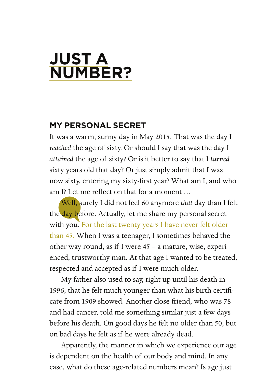## **JUST A NUMBER?**

## **MY PERSONAL SECRET**

It was a warm, sunny day in May 2015. That was the day I *reached* the age of sixty. Or should I say that was the day I *attained* the age of sixty? Or is it better to say that I *turned* sixty years old that day? Or just simply admit that I was now sixty, entering my sixty-first year? What am I, and who am I? Let me reflect on that for a moment  $\dots$ 

 Well, surely I did not feel 60 anymore *that* day than I felt the day before. Actually, let me share my personal secret with you. For the last twenty years I have never felt older than 45. When I was a teenager, I sometimes behaved the other way round, as if I were 45 – a mature, wise, experienced, trustworthy man. At that age I wanted to be treated, respected and accepted as if I were much older.

 My father also used to say, right up until his death in 1996, that he felt much younger than what his birth certificate from 1909 showed. Another close friend, who was 78 and had cancer, told me something similar just a few days before his death. On good days he felt no older than 50, but on bad days he felt as if he were already dead.

 Apparently, the manner in which we experience our age is dependent on the health of our body and mind. In any case, what do these age-related numbers mean? Is age just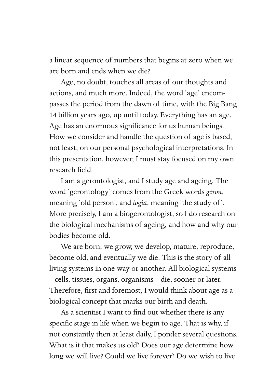a linear sequence of numbers that begins at zero when we are born and ends when we die?

 Age, no doubt, touches all areas of our thoughts and actions, and much more. Indeed, the word 'age' encompasses the period from the dawn of time, with the Big Bang 14 billion years ago, up until today. Everything has an age. Age has an enormous significance for us human beings. How we consider and handle the question of age is based, not least, on our personal psychological interpretations. In this presentation, however, I must stay focused on my own research field.

 I am a gerontologist, and I study age and ageing. The word 'gerontology' comes from the Greek words *geron*, meaning 'old person', and *logia*, meaning 'the study of '. More precisely, I am a biogerontologist, so I do research on the biological mechanisms of ageing, and how and why our bodies become old.

 We are born, we grow, we develop, mature, reproduce, become old, and eventually we die. This is the story of all living systems in one way or another. All biological systems – cells, tissues, organs, organisms – die, sooner or later. Therefore, first and foremost, I would think about age as a biological concept that marks our birth and death.

As a scientist I want to find out whether there is any specific stage in life when we begin to age. That is why, if not constantly then at least daily, I ponder several questions. What is it that makes us old? Does our age determine how long we will live? Could we live forever? Do we wish to live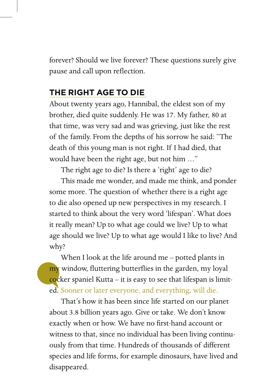forever? Should we live forever? These questions surely give pause and call upon reflection.

## **THE RIGHT AGE TO DIE**

About twenty years ago, Hannibal, the eldest son of my brother, died quite suddenly. He was 17. My father, 80 at that time, was very sad and was grieving, just like the rest of the family. From the depths of his sorrow he said: "The death of this young man is not right. If I had died, that would have been the right age, but not him …"

The right age to die? Is there a 'right' age to die?

 This made me wonder, and made me think, and ponder some more. The question of whether there is a right age to die also opened up new perspectives in my research. I started to think about the very word 'lifespan'. What does it really mean? Up to what age could we live? Up to what age should we live? Up to what age would I like to live? And why?

 When I look at the life around me – potted plants in my window, fluttering butterflies in the garden, my loyal  $\frac{\text{coker}}{\text{coker}}$  spaniel Kutta – it is easy to see that lifespan is limited. Sooner or later everyone, and everything, will die.

 That's how it has been since life started on our planet about 3.8 billion years ago. Give or take. We don't know exactly when or how. We have no first-hand account or witness to that, since no individual has been living continuously from that time. Hundreds of thousands of different species and life forms, for example dinosaurs, have lived and disappeared.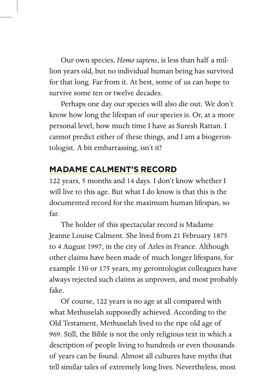Our own species, *Homo sapiens*, is less than half a million years old, but no individual human being has survived for that long. Far from it. At best, some of us can hope to survive some ten or twelve decades.

 Perhaps one day our species will also die out. We don't know how long the lifespan of our species is. Or, at a more personal level, how much time I have as Suresh Rattan. I cannot predict either of these things, and I am a biogerontologist. A bit embarrassing, isn't it?

## **MADAME CALMENT'S RECORD**

122 years, 5 months and 14 days. I don't know whether I will live to this age. But what I do know is that this is the documented record for the maximum human lifespan, so far.

 The holder of this spectacular record is Madame Jeanne Louise Calment. She lived from 21 February 1875 to 4 August 1997, in the city of Arles in France. Although other claims have been made of much longer lifespans, for example 150 or 175 years, my gerontologist colleagues have always rejected such claims as unproven, and most probably fake.

 Of course, 122 years is no age at all compared with what Methuselah supposedly achieved. According to the Old Testament, Methuselah lived to the ripe old age of 969. Still, the Bible is not the only religious text in which a description of people living to hundreds or even thousands of years can be found. Almost all cultures have myths that tell similar tales of extremely long lives. Nevertheless, most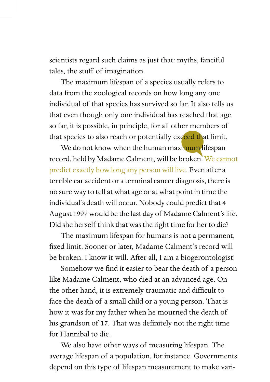scientists regard such claims as just that: myths, fanciful tales, the stuff of imagination.

 The maximum lifespan of a species usually refers to data from the zoological records on how long any one individual of that species has survived so far. It also tells us that even though only one individual has reached that age so far, it is possible, in principle, for all other members of that species to also reach or potentially exceed that limit.

We do not know when the human maximum lifespan record, held by Madame Calment, will be broken. We cannot predict exactly how long any person will live. Even after a terrible car accident or a terminal cancer diagnosis, there is no sure way to tell at what age or at what point in time the individual's death will occur. Nobody could predict that 4 August 1997 would be the last day of Madame Calment's life. Did she herself think that was the right time for her to die?

 The maximum lifespan for humans is not a permanent, fixed limit. Sooner or later, Madame Calment's record will be broken. I know it will. After all, I am a biogerontologist!

Somehow we find it easier to bear the death of a person like Madame Calment, who died at an advanced age. On the other hand, it is extremely traumatic and difficult to face the death of a small child or a young person. That is how it was for my father when he mourned the death of his grandson of 17. That was definitely not the right time for Hannibal to die.

 We also have other ways of measuring lifespan. The average lifespan of a population, for instance. Governments depend on this type of lifespan measurement to make vari-